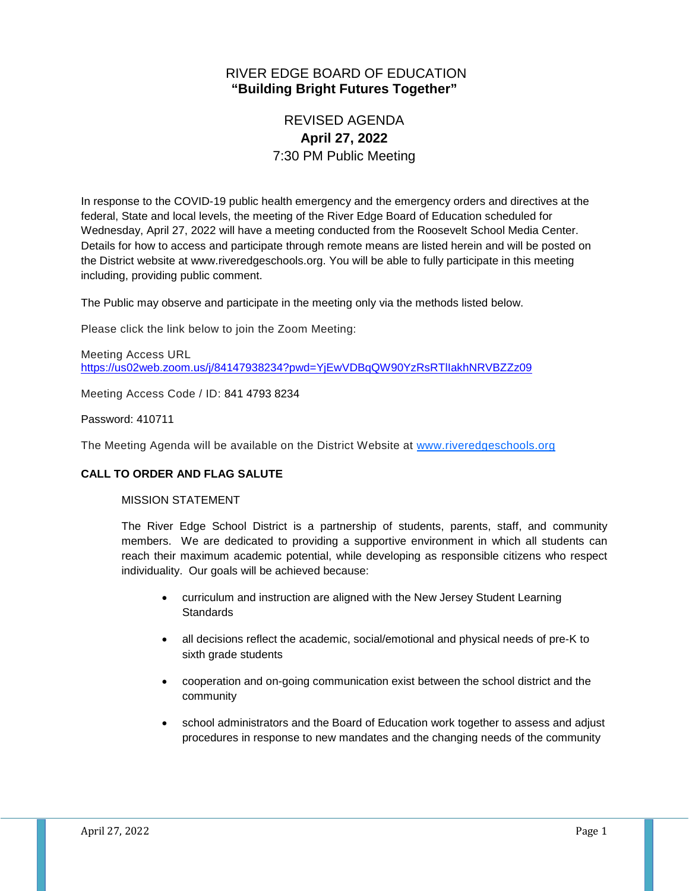## RIVER EDGE BOARD OF EDUCATION **"Building Bright Futures Together"**

# REVISED AGENDA **April 27, 2022** 7:30 PM Public Meeting

In response to the COVID-19 public health emergency and the emergency orders and directives at the federal, State and local levels, the meeting of the River Edge Board of Education scheduled for Wednesday, April 27, 2022 will have a meeting conducted from the Roosevelt School Media Center. Details for how to access and participate through remote means are listed herein and will be posted on the District website at www.riveredgeschools.org. You will be able to fully participate in this meeting including, providing public comment.

The Public may observe and participate in the meeting only via the methods listed below.

Please click the link below to join the Zoom Meeting:

Meeting Access URL <https://us02web.zoom.us/j/84147938234?pwd=YjEwVDBqQW90YzRsRTlIakhNRVBZZz09>

Meeting Access Code / ID: 841 4793 8234

#### Password: 410711

The Meeting Agenda will be available on the District Website at www[.riveredgeschools.org](http://riveredgeschools.org/)

## **CALL TO ORDER AND FLAG SALUTE**

#### MISSION STATEMENT

The River Edge School District is a partnership of students, parents, staff, and community members. We are dedicated to providing a supportive environment in which all students can reach their maximum academic potential, while developing as responsible citizens who respect individuality. Our goals will be achieved because:

- curriculum and instruction are aligned with the New Jersey Student Learning **Standards**
- all decisions reflect the academic, social/emotional and physical needs of pre-K to sixth grade students
- cooperation and on-going communication exist between the school district and the community
- school administrators and the Board of Education work together to assess and adjust procedures in response to new mandates and the changing needs of the community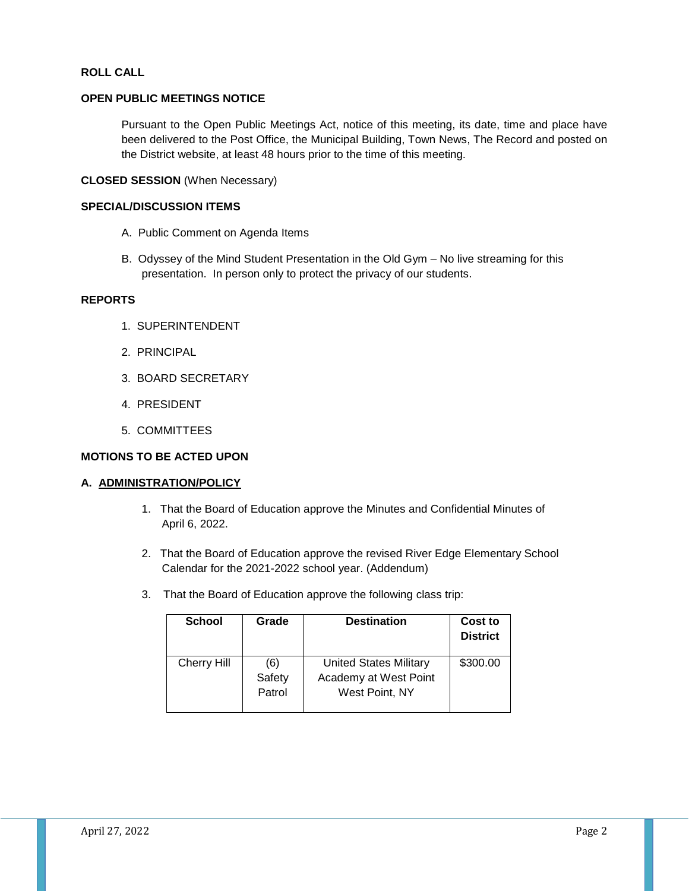#### **ROLL CALL**

#### **OPEN PUBLIC MEETINGS NOTICE**

Pursuant to the Open Public Meetings Act, notice of this meeting, its date, time and place have been delivered to the Post Office, the Municipal Building, Town News, The Record and posted on the District website, at least 48 hours prior to the time of this meeting.

## **CLOSED SESSION** (When Necessary)

#### **SPECIAL/DISCUSSION ITEMS**

- A. Public Comment on Agenda Items
- B. Odyssey of the Mind Student Presentation in the Old Gym No live streaming for this presentation. In person only to protect the privacy of our students.

#### **REPORTS**

- 1. SUPERINTENDENT
- 2. PRINCIPAL
- 3. BOARD SECRETARY
- 4. PRESIDENT
- 5. COMMITTEES

## **MOTIONS TO BE ACTED UPON**

#### **A. ADMINISTRATION/POLICY**

- 1. That the Board of Education approve the Minutes and Confidential Minutes of April 6, 2022.
- 2. That the Board of Education approve the revised River Edge Elementary School Calendar for the 2021-2022 school year. (Addendum)
- 3. That the Board of Education approve the following class trip:

| <b>School</b> | Grade  | <b>Destination</b>            | Cost to<br><b>District</b> |
|---------------|--------|-------------------------------|----------------------------|
| Cherry Hill   | (6)    | <b>United States Military</b> | \$300.00                   |
|               | Safety | Academy at West Point         |                            |
|               | Patrol | West Point, NY                |                            |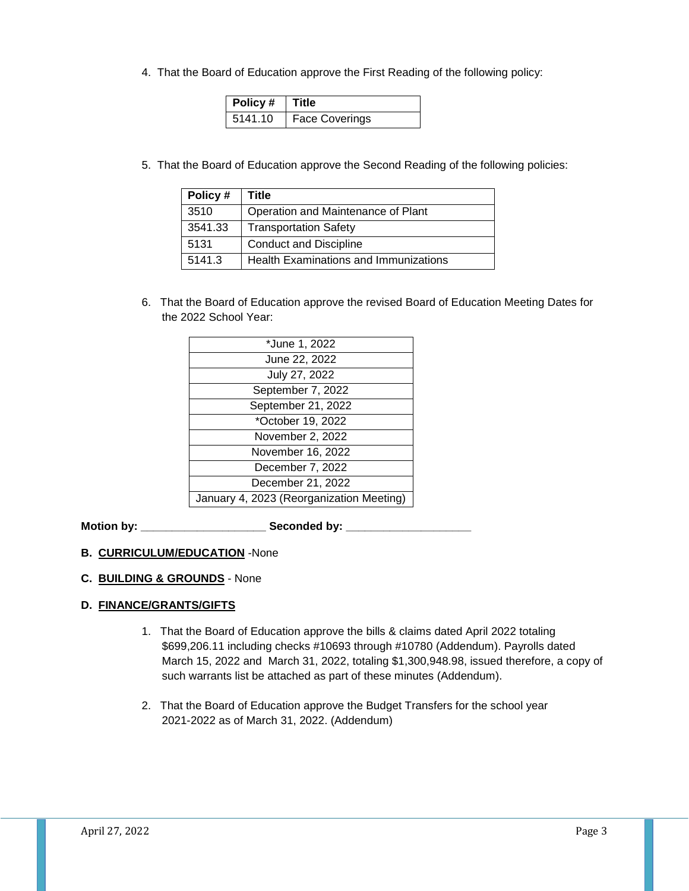4. That the Board of Education approve the First Reading of the following policy:

| Policy #   Title |                       |
|------------------|-----------------------|
| 5141.10          | <b>Face Coverings</b> |

5. That the Board of Education approve the Second Reading of the following policies:

| Policy# | Title                                 |
|---------|---------------------------------------|
| 3510    | Operation and Maintenance of Plant    |
| 3541.33 | <b>Transportation Safety</b>          |
| 5131    | <b>Conduct and Discipline</b>         |
| 5141.3  | Health Examinations and Immunizations |

6. That the Board of Education approve the revised Board of Education Meeting Dates for the 2022 School Year:

| *June 1, 2022                            |
|------------------------------------------|
| June 22, 2022                            |
| July 27, 2022                            |
| September 7, 2022                        |
| September 21, 2022                       |
| *October 19, 2022                        |
| November 2, 2022                         |
| November 16, 2022                        |
| December 7, 2022                         |
| December 21, 2022                        |
| January 4, 2023 (Reorganization Meeting) |

**Motion by: \_\_\_\_\_\_\_\_\_\_\_\_\_\_\_\_\_\_\_\_ Seconded by: \_\_\_\_\_\_\_\_\_\_\_\_\_\_\_\_\_\_\_\_**

## **B. CURRICULUM/EDUCATION** -None

## **C. BUILDING & GROUNDS** - None

## **D. FINANCE/GRANTS/GIFTS**

- 1. That the Board of Education approve the bills & claims dated April 2022 totaling \$699,206.11 including checks #10693 through #10780 (Addendum). Payrolls dated March 15, 2022 and March 31, 2022, totaling \$1,300,948.98, issued therefore, a copy of such warrants list be attached as part of these minutes (Addendum).
- 2. That the Board of Education approve the Budget Transfers for the school year 2021-2022 as of March 31, 2022. (Addendum)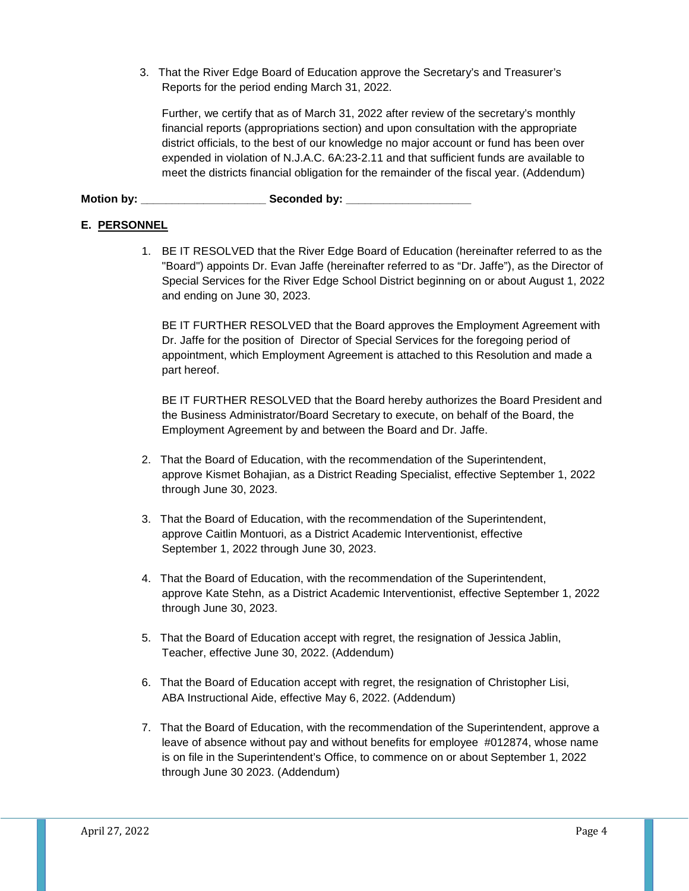3. That the River Edge Board of Education approve the Secretary's and Treasurer's Reports for the period ending March 31, 2022.

Further, we certify that as of March 31, 2022 after review of the secretary's monthly financial reports (appropriations section) and upon consultation with the appropriate district officials, to the best of our knowledge no major account or fund has been over expended in violation of N.J.A.C. 6A:23-2.11 and that sufficient funds are available to meet the districts financial obligation for the remainder of the fiscal year. (Addendum)

**Motion by: \_\_\_\_\_\_\_\_\_\_\_\_\_\_\_\_\_\_\_\_ Seconded by: \_\_\_\_\_\_\_\_\_\_\_\_\_\_\_\_\_\_\_\_**

## **E. PERSONNEL**

1. BE IT RESOLVED that the River Edge Board of Education (hereinafter referred to as the "Board") appoints Dr. Evan Jaffe (hereinafter referred to as "Dr. Jaffe"), as the Director of Special Services for the River Edge School District beginning on or about August 1, 2022 and ending on June 30, 2023.

BE IT FURTHER RESOLVED that the Board approves the Employment Agreement with Dr. Jaffe for the position of Director of Special Services for the foregoing period of appointment, which Employment Agreement is attached to this Resolution and made a part hereof.

BE IT FURTHER RESOLVED that the Board hereby authorizes the Board President and the Business Administrator/Board Secretary to execute, on behalf of the Board, the Employment Agreement by and between the Board and Dr. Jaffe.

- 2. That the Board of Education, with the recommendation of the Superintendent, approve Kismet Bohajian, as a District Reading Specialist, effective September 1, 2022 through June 30, 2023.
- 3. That the Board of Education, with the recommendation of the Superintendent, approve Caitlin Montuori, as a District Academic Interventionist, effective September 1, 2022 through June 30, 2023.
- 4. That the Board of Education, with the recommendation of the Superintendent, approve Kate Stehn, as a District Academic Interventionist, effective September 1, 2022 through June 30, 2023.
- 5. That the Board of Education accept with regret, the resignation of Jessica Jablin, Teacher, effective June 30, 2022. (Addendum)
- 6. That the Board of Education accept with regret, the resignation of Christopher Lisi, ABA Instructional Aide, effective May 6, 2022. (Addendum)
- 7. That the Board of Education, with the recommendation of the Superintendent, approve a leave of absence without pay and without benefits for employee #012874, whose name is on file in the Superintendent's Office, to commence on or about September 1, 2022 through June 30 2023. (Addendum)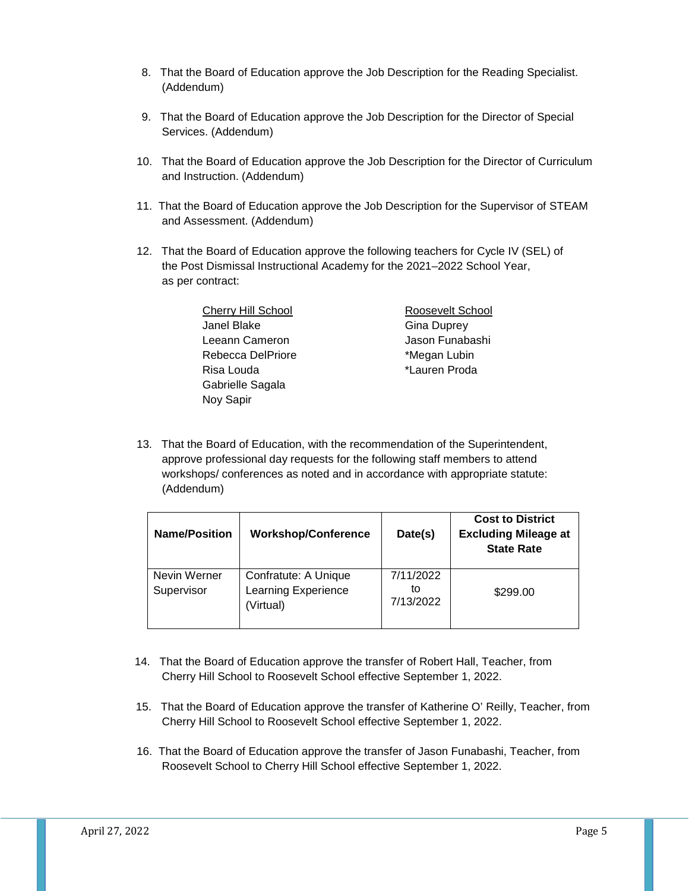- 8. That the Board of Education approve the Job Description for the Reading Specialist. (Addendum)
- 9. That the Board of Education approve the Job Description for the Director of Special Services. (Addendum)
- 10. That the Board of Education approve the Job Description for the Director of Curriculum and Instruction. (Addendum)
- 11. That the Board of Education approve the Job Description for the Supervisor of STEAM and Assessment. (Addendum)
- 12. That the Board of Education approve the following teachers for Cycle IV (SEL) of the Post Dismissal Instructional Academy for the 2021–2022 School Year, as per contract:

| <b>Cherry Hill School</b> | Roosevelt School   |
|---------------------------|--------------------|
| Janel Blake               | <b>Gina Duprey</b> |
| Leeann Cameron            | Jason Funabashi    |
| Rebecca DelPriore         | *Megan Lubin       |
| Risa Louda                | *Lauren Proda      |
| Gabrielle Sagala          |                    |
| Noy Sapir                 |                    |

13. That the Board of Education, with the recommendation of the Superintendent, approve professional day requests for the following staff members to attend workshops/ conferences as noted and in accordance with appropriate statute: (Addendum)

| <b>Name/Position</b>       | <b>Workshop/Conference</b>                               | Date(s)                      | <b>Cost to District</b><br><b>Excluding Mileage at</b><br><b>State Rate</b> |
|----------------------------|----------------------------------------------------------|------------------------------|-----------------------------------------------------------------------------|
| Nevin Werner<br>Supervisor | Confratute: A Unique<br>Learning Experience<br>(Virtual) | 7/11/2022<br>tΟ<br>7/13/2022 | \$299.00                                                                    |

- 14. That the Board of Education approve the transfer of Robert Hall, Teacher, from Cherry Hill School to Roosevelt School effective September 1, 2022.
- 15. That the Board of Education approve the transfer of Katherine O' Reilly, Teacher, from Cherry Hill School to Roosevelt School effective September 1, 2022.
- 16. That the Board of Education approve the transfer of Jason Funabashi, Teacher, from Roosevelt School to Cherry Hill School effective September 1, 2022.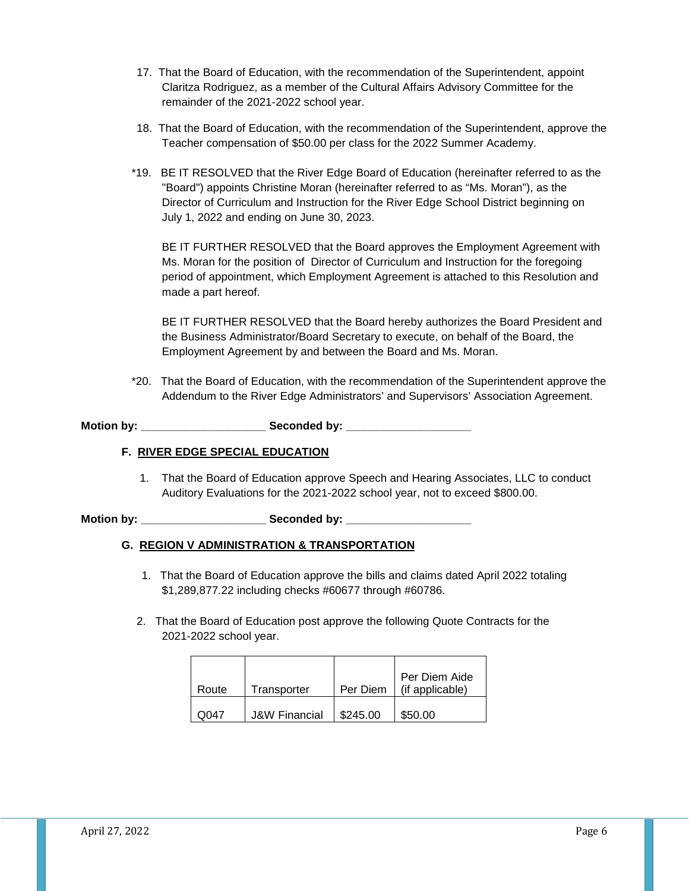- 17. That the Board of Education, with the recommendation of the Superintendent, appoint Claritza Rodriguez, as a member of the Cultural Affairs Advisory Committee for the remainder of the 2021-2022 school year.
- 18. That the Board of Education, with the recommendation of the Superintendent, approve the Teacher compensation of \$50.00 per class for the 2022 Summer Academy.
- \*19. BE IT RESOLVED that the River Edge Board of Education (hereinafter referred to as the "Board") appoints Christine Moran (hereinafter referred to as "Ms. Moran"), as the Director of Curriculum and Instruction for the River Edge School District beginning on July 1, 2022 and ending on June 30, 2023.

BE IT FURTHER RESOLVED that the Board approves the Employment Agreement with Ms. Moran for the position of Director of Curriculum and Instruction for the foregoing period of appointment, which Employment Agreement is attached to this Resolution and made a part hereof.

BE IT FURTHER RESOLVED that the Board hereby authorizes the Board President and the Business Administrator/Board Secretary to execute, on behalf of the Board, the Employment Agreement by and between the Board and Ms. Moran.

\*20. That the Board of Education, with the recommendation of the Superintendent approve the Addendum to the River Edge Administrators' and Supervisors' Association Agreement.

**Motion by: \_\_\_\_\_\_\_\_\_\_\_\_\_\_\_\_\_\_\_\_ Seconded by: \_\_\_\_\_\_\_\_\_\_\_\_\_\_\_\_\_\_\_\_**

#### **F. RIVER EDGE SPECIAL EDUCATION**

1. That the Board of Education approve Speech and Hearing Associates, LLC to conduct Auditory Evaluations for the 2021-2022 school year, not to exceed \$800.00.

**Motion by: \_\_\_\_\_\_\_\_\_\_\_\_\_\_\_\_\_\_\_\_ Seconded by: \_\_\_\_\_\_\_\_\_\_\_\_\_\_\_\_\_\_\_\_**

## **G. REGION V ADMINISTRATION & TRANSPORTATION**

- 1. That the Board of Education approve the bills and claims dated April 2022 totaling \$1,289,877.22 including checks #60677 through #60786.
- 2. That the Board of Education post approve the following Quote Contracts for the 2021-2022 school year.

|       |                          |          | Per Diem Aide   |
|-------|--------------------------|----------|-----------------|
| Route | Transporter              | Per Diem | (if applicable) |
|       |                          |          |                 |
| ററ47  | <b>J&amp;W Financial</b> | \$245.00 | \$50.00         |